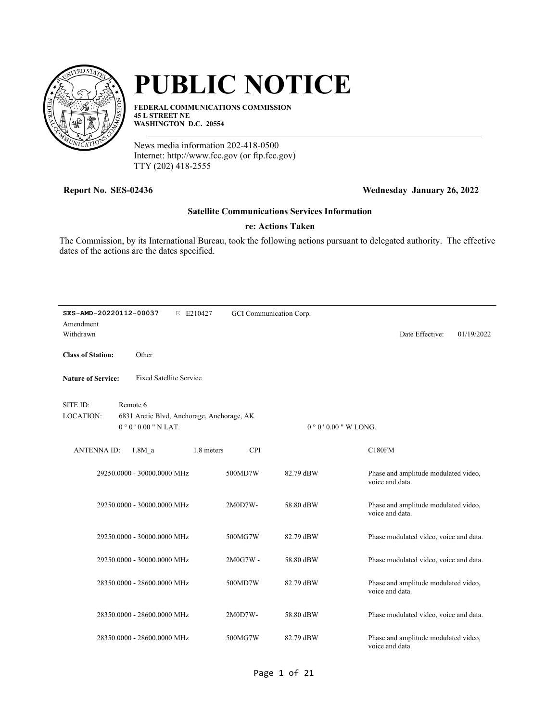

# **PUBLIC NOTICE**

**FEDERAL COMMUNICATIONS COMMISSION 45 L STREET NE WASHINGTON D.C. 20554**

News media information 202-418-0500 Internet: http://www.fcc.gov (or ftp.fcc.gov) TTY (202) 418-2555

## **Report No. SES-02436 Wednesday January 26, 2022**

#### **Satellite Communications Services Information**

### **re: Actions Taken**

The Commission, by its International Bureau, took the following actions pursuant to delegated authority. The effective dates of the actions are the dates specified.

| SES-AMD-20220112-00037       | E E210427                                                                    | GCI Communication Corp.  |           |                                                         |  |
|------------------------------|------------------------------------------------------------------------------|--------------------------|-----------|---------------------------------------------------------|--|
| Amendment<br>Withdrawn       |                                                                              |                          |           | Date Effective:<br>01/19/2022                           |  |
| <b>Class of Station:</b>     | Other                                                                        |                          |           |                                                         |  |
| <b>Nature of Service:</b>    | <b>Fixed Satellite Service</b>                                               |                          |           |                                                         |  |
| SITE ID:<br><b>LOCATION:</b> | Remote 6<br>6831 Arctic Blvd, Anchorage, Anchorage, AK<br>$0°0'0.00"$ N LAT. |                          |           | $0°0'0.00''$ W LONG.                                    |  |
| <b>ANTENNA ID:</b>           | $1.8M$ a                                                                     | 1.8 meters<br><b>CPI</b> |           | C180FM                                                  |  |
|                              | 29250.0000 - 30000.0000 MHz                                                  | 500MD7W                  | 82.79 dBW | Phase and amplitude modulated video,<br>voice and data. |  |
|                              | 29250.0000 - 30000.0000 MHz                                                  | 2M0D7W-                  | 58.80 dBW | Phase and amplitude modulated video,<br>voice and data. |  |
|                              | 29250.0000 - 30000.0000 MHz                                                  | 500MG7W                  | 82.79 dBW | Phase modulated video, voice and data.                  |  |
|                              | 29250.0000 - 30000.0000 MHz                                                  | 2M0G7W -                 | 58.80 dBW | Phase modulated video, voice and data.                  |  |
|                              | 28350.0000 - 28600.0000 MHz                                                  | 500MD7W                  | 82.79 dBW | Phase and amplitude modulated video,<br>voice and data. |  |
|                              | 28350.0000 - 28600.0000 MHz                                                  | 2M0D7W-                  | 58.80 dBW | Phase modulated video, voice and data.                  |  |
|                              | 28350.0000 - 28600.0000 MHz                                                  | 500MG7W                  | 82.79 dBW | Phase and amplitude modulated video,<br>voice and data. |  |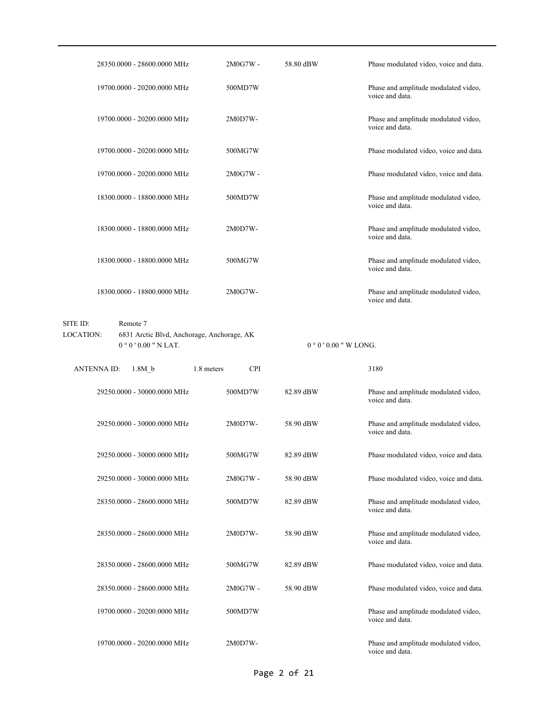|                    | 28350.0000 - 28600.0000 MHz | $2M0G7W -$                                 | 58.80 dBW | Phase modulated video, voice and data.                  |
|--------------------|-----------------------------|--------------------------------------------|-----------|---------------------------------------------------------|
|                    | 19700.0000 - 20200.0000 MHz | 500MD7W                                    |           | Phase and amplitude modulated video,<br>voice and data. |
|                    | 19700.0000 - 20200.0000 MHz | 2M0D7W-                                    |           | Phase and amplitude modulated video,<br>voice and data. |
|                    | 19700.0000 - 20200.0000 MHz | 500MG7W                                    |           | Phase modulated video, voice and data.                  |
|                    | 19700.0000 - 20200.0000 MHz | $2M0G7W -$                                 |           | Phase modulated video, voice and data.                  |
|                    | 18300.0000 - 18800.0000 MHz | 500MD7W                                    |           | Phase and amplitude modulated video,<br>voice and data. |
|                    | 18300.0000 - 18800.0000 MHz | 2M0D7W-                                    |           | Phase and amplitude modulated video,<br>voice and data. |
|                    | 18300.0000 - 18800.0000 MHz | 500MG7W                                    |           | Phase and amplitude modulated video,<br>voice and data. |
|                    | 18300.0000 - 18800.0000 MHz | 2M0G7W-                                    |           | Phase and amplitude modulated video,<br>voice and data. |
| SITE ID:           | Remote 7                    |                                            |           |                                                         |
| LOCATION:          |                             | 6831 Arctic Blvd, Anchorage, Anchorage, AK |           |                                                         |
|                    | $0°0'0.00"$ N LAT.          |                                            |           | $0°0'0.00''$ W LONG.                                    |
|                    |                             |                                            |           |                                                         |
| <b>ANTENNA ID:</b> | 1.8M <sub>b</sub>           | 1.8 meters<br><b>CPI</b>                   |           | 3180                                                    |
|                    | 29250.0000 - 30000.0000 MHz | 500MD7W                                    | 82.89 dBW | Phase and amplitude modulated video,<br>voice and data. |
|                    | 29250.0000 - 30000.0000 MHz | 2M0D7W-                                    | 58.90 dBW | Phase and amplitude modulated video,<br>voice and data. |
|                    | 29250.0000 - 30000.0000 MHz | 500MG7W                                    | 82.89 dBW | Phase modulated video, voice and data.                  |
|                    | 29250.0000 - 30000.0000 MHz | 2M0G7W -                                   | 58.90 dBW | Phase modulated video, voice and data.                  |
|                    | 28350.0000 - 28600.0000 MHz | 500MD7W                                    | 82.89 dBW | Phase and amplitude modulated video,<br>voice and data. |
|                    | 28350.0000 - 28600.0000 MHz | 2M0D7W-                                    | 58.90 dBW | Phase and amplitude modulated video,<br>voice and data. |
|                    | 28350.0000 - 28600.0000 MHz | 500MG7W                                    | 82.89 dBW | Phase modulated video, voice and data.                  |
|                    | 28350.0000 - 28600.0000 MHz | 2M0G7W -                                   | 58.90 dBW | Phase modulated video, voice and data.                  |
|                    | 19700.0000 - 20200.0000 MHz | 500MD7W                                    |           | Phase and amplitude modulated video,<br>voice and data. |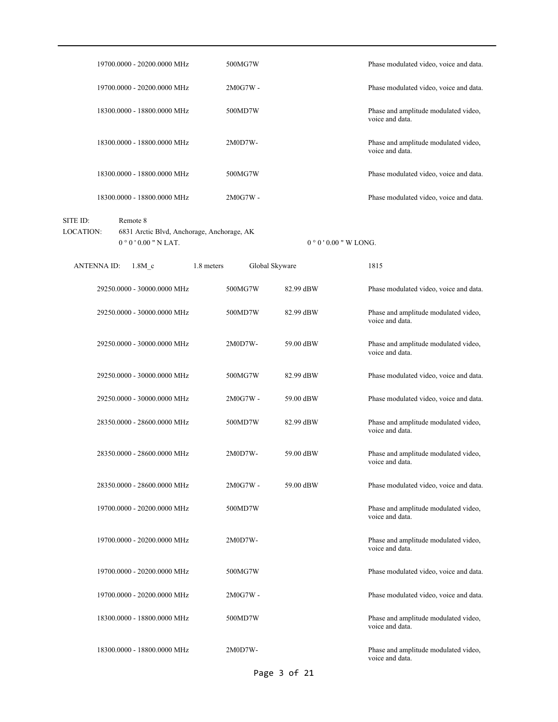|                              |                    | 19700.0000 - 20200.0000 MHz                                                  | 500MG7W    |                |                      | Phase modulated video, voice and data.                  |
|------------------------------|--------------------|------------------------------------------------------------------------------|------------|----------------|----------------------|---------------------------------------------------------|
|                              |                    | 19700.0000 - 20200.0000 MHz                                                  | 2M0G7W -   |                |                      | Phase modulated video, voice and data.                  |
|                              |                    | 18300.0000 - 18800.0000 MHz                                                  | 500MD7W    |                |                      | Phase and amplitude modulated video,<br>voice and data. |
|                              |                    | 18300.0000 - 18800.0000 MHz                                                  | 2M0D7W-    |                |                      | Phase and amplitude modulated video,<br>voice and data. |
|                              |                    | 18300.0000 - 18800.0000 MHz                                                  | 500MG7W    |                |                      | Phase modulated video, voice and data.                  |
|                              |                    | 18300.0000 - 18800.0000 MHz                                                  | $2M0G7W -$ |                |                      | Phase modulated video, voice and data.                  |
| SITE ID:<br><b>LOCATION:</b> |                    | Remote 8<br>6831 Arctic Blvd, Anchorage, Anchorage, AK<br>$0°0'0.00"$ N LAT. |            |                | $0°0'0.00''$ W LONG. |                                                         |
|                              | <b>ANTENNA ID:</b> | 1.8M <sub>c</sub>                                                            | 1.8 meters | Global Skyware |                      | 1815                                                    |
|                              |                    | 29250.0000 - 30000.0000 MHz                                                  | 500MG7W    |                | 82.99 dBW            | Phase modulated video, voice and data.                  |
|                              |                    | 29250.0000 - 30000.0000 MHz                                                  | 500MD7W    |                | 82.99 dBW            | Phase and amplitude modulated video,<br>voice and data. |
|                              |                    | 29250.0000 - 30000.0000 MHz                                                  | 2M0D7W-    |                | 59.00 dBW            | Phase and amplitude modulated video,<br>voice and data. |
|                              |                    | 29250.0000 - 30000.0000 MHz                                                  | 500MG7W    |                | 82.99 dBW            | Phase modulated video, voice and data.                  |
|                              |                    | 29250.0000 - 30000.0000 MHz                                                  | $2M0G7W -$ |                | 59.00 dBW            | Phase modulated video, voice and data.                  |
|                              |                    | 28350.0000 - 28600.0000 MHz                                                  | 500MD7W    |                | 82.99 dBW            | Phase and amplitude modulated video,<br>voice and data. |
|                              |                    | 28350.0000 - 28600.0000 MHz                                                  | $2M0D7W -$ |                | 59.00 dBW            | Phase and amplitude modulated video,<br>voice and data. |
|                              |                    | 28350.0000 - 28600.0000 MHz                                                  | 2M0G7W -   |                | 59.00 dBW            | Phase modulated video, voice and data.                  |
|                              |                    | 19700.0000 - 20200.0000 MHz                                                  | 500MD7W    |                |                      | Phase and amplitude modulated video,<br>voice and data. |
|                              |                    | 19700.0000 - 20200.0000 MHz                                                  | 2M0D7W-    |                |                      | Phase and amplitude modulated video,<br>voice and data. |
|                              |                    | 19700.0000 - 20200.0000 MHz                                                  | 500MG7W    |                |                      | Phase modulated video, voice and data.                  |
|                              |                    | 19700.0000 - 20200.0000 MHz                                                  | $2M0G7W -$ |                |                      | Phase modulated video, voice and data.                  |
|                              |                    | 18300.0000 - 18800.0000 MHz                                                  | 500MD7W    |                |                      | Phase and amplitude modulated video,<br>voice and data. |
|                              |                    | 18300.0000 - 18800.0000 MHz                                                  | 2M0D7W-    |                |                      | Phase and amplitude modulated video,<br>voice and data. |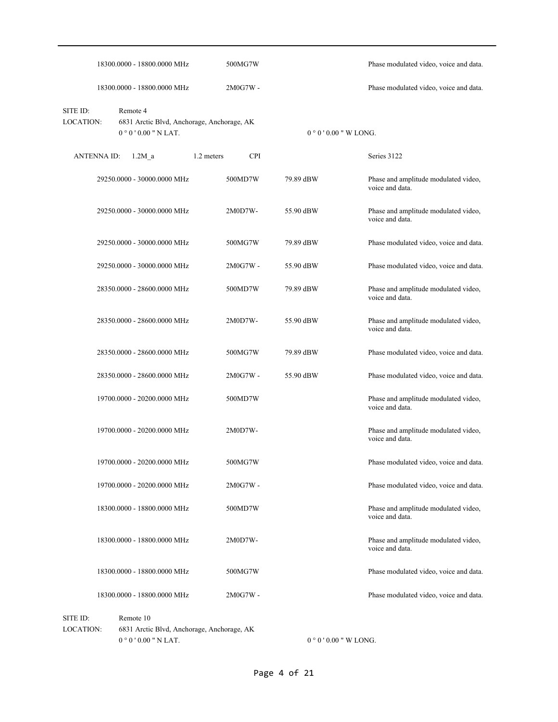|                              | 18300.0000 - 18800.0000 MHz                                                  |            | 500MG7W    |                      | Phase modulated video, voice and data.                  |
|------------------------------|------------------------------------------------------------------------------|------------|------------|----------------------|---------------------------------------------------------|
|                              | 18300.0000 - 18800.0000 MHz                                                  |            | $2M0G7W -$ |                      | Phase modulated video, voice and data.                  |
| SITE ID:<br><b>LOCATION:</b> | Remote 4<br>6831 Arctic Blvd, Anchorage, Anchorage, AK<br>$0°0'0.00"$ N LAT. |            |            | $0°0'0.00''$ W LONG. |                                                         |
| <b>ANTENNA ID:</b>           | $1.2M$ a                                                                     | 1.2 meters | <b>CPI</b> |                      | Series 3122                                             |
|                              | 29250.0000 - 30000.0000 MHz                                                  |            | 500MD7W    | 79.89 dBW            | Phase and amplitude modulated video,<br>voice and data. |
|                              | 29250.0000 - 30000.0000 MHz                                                  |            | 2M0D7W-    | 55.90 dBW            | Phase and amplitude modulated video,<br>voice and data. |
|                              | 29250.0000 - 30000.0000 MHz                                                  |            | 500MG7W    | 79.89 dBW            | Phase modulated video, voice and data.                  |
|                              | 29250.0000 - 30000.0000 MHz                                                  |            | $2M0G7W -$ | 55.90 dBW            | Phase modulated video, voice and data.                  |
|                              | 28350.0000 - 28600.0000 MHz                                                  |            | 500MD7W    | 79.89 dBW            | Phase and amplitude modulated video,<br>voice and data. |
|                              | 28350.0000 - 28600.0000 MHz                                                  |            | 2M0D7W-    | 55.90 dBW            | Phase and amplitude modulated video,<br>voice and data. |
|                              | 28350.0000 - 28600.0000 MHz                                                  |            | 500MG7W    | 79.89 dBW            | Phase modulated video, voice and data.                  |
|                              | 28350.0000 - 28600.0000 MHz                                                  |            | 2M0G7W -   | 55.90 dBW            | Phase modulated video, voice and data.                  |
|                              | 19700.0000 - 20200.0000 MHz                                                  |            | 500MD7W    |                      | Phase and amplitude modulated video,<br>voice and data. |
|                              | 19700.0000 - 20200.0000 MHz                                                  |            | 2M0D7W-    |                      | Phase and amplitude modulated video,<br>voice and data. |
|                              | 19700.0000 - 20200.0000 MHz                                                  |            | 500MG7W    |                      | Phase modulated video, voice and data.                  |
|                              | 19700.0000 - 20200.0000 MHz                                                  |            | 2M0G7W -   |                      | Phase modulated video, voice and data.                  |
|                              | 18300.0000 - 18800.0000 MHz                                                  |            | 500MD7W    |                      | Phase and amplitude modulated video,<br>voice and data. |
|                              | 18300.0000 - 18800.0000 MHz                                                  |            | 2M0D7W-    |                      | Phase and amplitude modulated video,<br>voice and data. |
|                              | 18300.0000 - 18800.0000 MHz                                                  |            | 500MG7W    |                      | Phase modulated video, voice and data.                  |
|                              | 18300.0000 - 18800.0000 MHz                                                  |            | 2M0G7W-    |                      | Phase modulated video, voice and data.                  |
| SITE ID:<br>LOCATION:        | Remote 10<br>6831 Arctic Blvd, Anchorage, Anchorage, AK                      |            |            |                      |                                                         |

 $0$   $^{\circ}$   $0$   $^{\prime}$   $0.00$  " N LAT.

 $0$   $^{\circ}$   $0$   $^{\prime}$   $0.00$  " W LONG.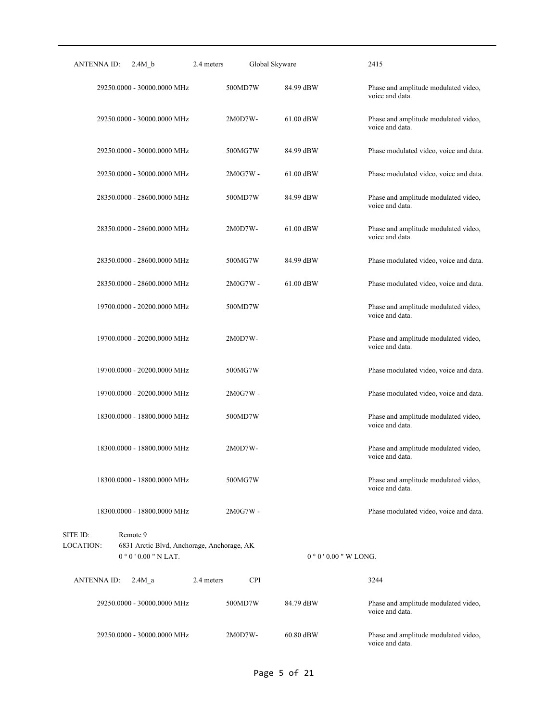| ANTENNA ID:<br>2.4M b                                                         | Global Skyware<br>2.4 meters |                     | 2415                                                    |
|-------------------------------------------------------------------------------|------------------------------|---------------------|---------------------------------------------------------|
| 29250.0000 - 30000.0000 MHz                                                   | 500MD7W                      | 84.99 dBW           | Phase and amplitude modulated video,<br>voice and data. |
| 29250.0000 - 30000.0000 MHz                                                   | 2M0D7W-                      | $61.00$ dBW         | Phase and amplitude modulated video,<br>voice and data. |
| 29250.0000 - 30000.0000 MHz                                                   | 500MG7W                      | 84.99 dBW           | Phase modulated video, voice and data.                  |
| 29250.0000 - 30000.0000 MHz                                                   | 2M0G7W -                     | $61.00$ dBW         | Phase modulated video, voice and data.                  |
| 28350.0000 - 28600.0000 MHz                                                   | 500MD7W                      | 84.99 dBW           | Phase and amplitude modulated video,<br>voice and data. |
| 28350.0000 - 28600.0000 MHz                                                   | 2M0D7W-                      | $61.00$ dBW         | Phase and amplitude modulated video,<br>voice and data. |
| 28350.0000 - 28600.0000 MHz                                                   | 500MG7W                      | 84.99 dBW           | Phase modulated video, voice and data.                  |
| 28350.0000 - 28600.0000 MHz                                                   | 2M0G7W -                     | 61.00 dBW           | Phase modulated video, voice and data.                  |
| 19700.0000 - 20200.0000 MHz                                                   | 500MD7W                      |                     | Phase and amplitude modulated video,<br>voice and data. |
| 19700.0000 - 20200.0000 MHz                                                   | 2M0D7W-                      |                     | Phase and amplitude modulated video,<br>voice and data. |
| 19700.0000 - 20200.0000 MHz                                                   | 500MG7W                      |                     | Phase modulated video, voice and data.                  |
| 19700.0000 - 20200.0000 MHz                                                   | 2M0G7W -                     |                     | Phase modulated video, voice and data.                  |
| 18300.0000 - 18800.0000 MHz                                                   | 500MD7W                      |                     | Phase and amplitude modulated video,<br>voice and data. |
| 18300.0000 - 18800.0000 MHz                                                   | 2M0D7W-                      |                     | Phase and amplitude modulated video,<br>voice and data. |
| 18300.0000 - 18800.0000 MHz                                                   | 500MG7W                      |                     | Phase and amplitude modulated video,<br>voice and data. |
| 18300.0000 - 18800.0000 MHz                                                   | 2M0G7W -                     |                     | Phase modulated video, voice and data.                  |
| SITE ID:<br>Remote 9                                                          |                              |                     |                                                         |
| LOCATION:<br>6831 Arctic Blvd, Anchorage, Anchorage, AK<br>$0°0'0.00"$ N LAT. |                              | $0°0'0.00"$ W LONG. |                                                         |
| <b>ANTENNA ID:</b><br>2.4M a                                                  | <b>CPI</b><br>2.4 meters     |                     | 3244                                                    |
| 29250.0000 - 30000.0000 MHz                                                   | 500MD7W                      | 84.79 dBW           | Phase and amplitude modulated video,<br>voice and data. |
| 29250.0000 - 30000.0000 MHz                                                   | 2M0D7W-                      | 60.80 dBW           | Phase and amplitude modulated video,<br>voice and data. |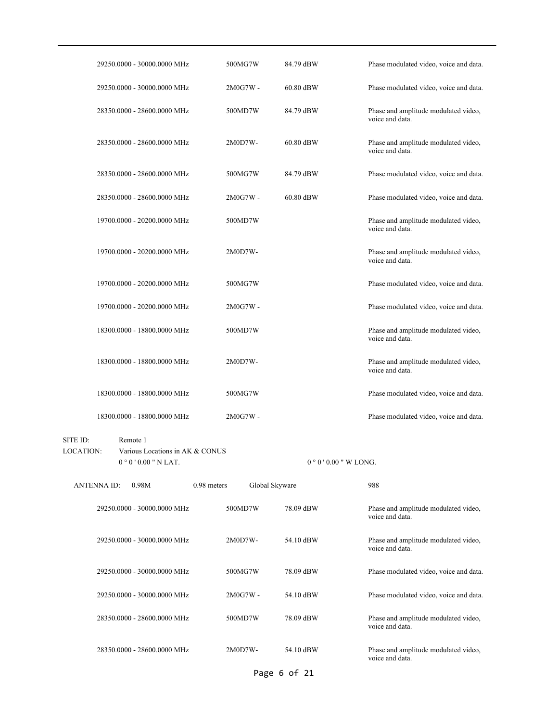| 29250.0000 - 30000.0000 MHz                                                                       | 500MG7W                       | 84.79 dBW            | Phase modulated video, voice and data.                  |
|---------------------------------------------------------------------------------------------------|-------------------------------|----------------------|---------------------------------------------------------|
| 29250.0000 - 30000.0000 MHz                                                                       | $2M0G7W -$                    | 60.80 dBW            | Phase modulated video, voice and data.                  |
| 28350.0000 - 28600.0000 MHz                                                                       | 500MD7W                       | 84.79 dBW            | Phase and amplitude modulated video,<br>voice and data. |
| 28350.0000 - 28600.0000 MHz                                                                       | 2M0D7W-                       | 60.80 dBW            | Phase and amplitude modulated video,<br>voice and data. |
| 28350.0000 - 28600.0000 MHz                                                                       | 500MG7W                       | 84.79 dBW            | Phase modulated video, voice and data.                  |
| 28350.0000 - 28600.0000 MHz                                                                       | 2M0G7W -                      | 60.80 dBW            | Phase modulated video, voice and data.                  |
| 19700.0000 - 20200.0000 MHz                                                                       | 500MD7W                       |                      | Phase and amplitude modulated video,<br>voice and data. |
| 19700.0000 - 20200.0000 MHz                                                                       | 2M0D7W-                       |                      | Phase and amplitude modulated video,<br>voice and data. |
| 19700.0000 - 20200.0000 MHz                                                                       | 500MG7W                       |                      | Phase modulated video, voice and data.                  |
| 19700.0000 - 20200.0000 MHz                                                                       | $2M0G7W -$                    |                      | Phase modulated video, voice and data.                  |
| 18300.0000 - 18800.0000 MHz                                                                       | 500MD7W                       |                      | Phase and amplitude modulated video,<br>voice and data. |
| 18300.0000 - 18800.0000 MHz                                                                       | $2M0D7W -$                    |                      | Phase and amplitude modulated video,<br>voice and data. |
| 18300.0000 - 18800.0000 MHz                                                                       | 500MG7W                       |                      | Phase modulated video, voice and data.                  |
| 18300.0000 - 18800.0000 MHz                                                                       | $2M0G7W -$                    |                      | Phase modulated video, voice and data.                  |
| SITE ID:<br>Remote 1<br><b>LOCATION:</b><br>Various Locations in AK & CONUS<br>$0°0'0.00"$ N LAT. |                               | $0°0'0.00''$ W LONG. |                                                         |
| <b>ANTENNA ID:</b><br>0.98M                                                                       | 0.98 meters<br>Global Skyware |                      | 988                                                     |
| 29250.0000 - 30000.0000 MHz                                                                       | 500MD7W                       | 78.09 dBW            | Phase and amplitude modulated video,<br>voice and data. |
| 29250.0000 - 30000.0000 MHz                                                                       | 2M0D7W-                       | 54.10 dBW            | Phase and amplitude modulated video,<br>voice and data. |
| 29250.0000 - 30000.0000 MHz                                                                       | 500MG7W                       | 78.09 dBW            | Phase modulated video, voice and data.                  |
| 29250.0000 - 30000.0000 MHz                                                                       | 2M0G7W -                      | 54.10 dBW            | Phase modulated video, voice and data.                  |
| 28350.0000 - 28600.0000 MHz                                                                       | 500MD7W                       | 78.09 dBW            | Phase and amplitude modulated video,<br>voice and data. |
| 28350.0000 - 28600.0000 MHz                                                                       | 2M0D7W-                       | 54.10 dBW            | Phase and amplitude modulated video,<br>voice and data. |

Page 6 of 21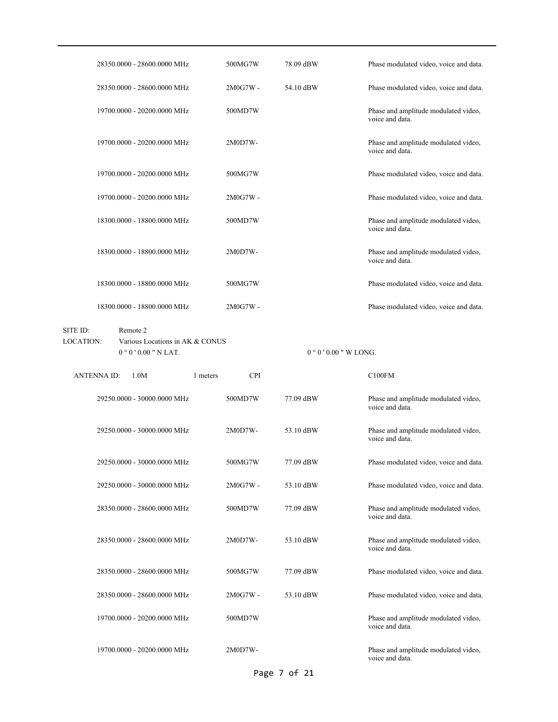| 28350.0000 - 28600.0000 MHz                                                                       | 500MG7W                | 78.09 dBW | Phase modulated video, voice and data.                  |
|---------------------------------------------------------------------------------------------------|------------------------|-----------|---------------------------------------------------------|
| 28350.0000 - 28600.0000 MHz                                                                       | 2M0G7W -               | 54.10 dBW | Phase modulated video, voice and data.                  |
| 19700.0000 - 20200.0000 MHz                                                                       | 500MD7W                |           | Phase and amplitude modulated video,<br>voice and data. |
| 19700.0000 - 20200.0000 MHz                                                                       | 2M0D7W-                |           | Phase and amplitude modulated video,<br>voice and data. |
| 19700.0000 - 20200.0000 MHz                                                                       | 500MG7W                |           | Phase modulated video, voice and data.                  |
| 19700.0000 - 20200.0000 MHz                                                                       | $2M0G7W -$             |           | Phase modulated video, voice and data.                  |
| 18300.0000 - 18800.0000 MHz                                                                       | 500MD7W                |           | Phase and amplitude modulated video,<br>voice and data. |
| 18300.0000 - 18800.0000 MHz                                                                       | $2M0D7W -$             |           | Phase and amplitude modulated video,<br>voice and data. |
| 18300.0000 - 18800.0000 MHz                                                                       | 500MG7W                |           | Phase modulated video, voice and data.                  |
| 18300.0000 - 18800.0000 MHz                                                                       | 2M0G7W -               |           | Phase modulated video, voice and data.                  |
| SITE ID:<br>Remote 2<br><b>LOCATION:</b><br>Various Locations in AK & CONUS<br>$0°0'0.00"$ N LAT. |                        |           | $0°0'$ 0.00 " W LONG.                                   |
|                                                                                                   |                        |           |                                                         |
| <b>ANTENNAID:</b><br>1.0M                                                                         | <b>CPI</b><br>1 meters |           | C100FM                                                  |
| 29250.0000 - 30000.0000 MHz                                                                       | 500MD7W                | 77.09 dBW | Phase and amplitude modulated video,<br>voice and data. |
| 29250.0000 - 30000.0000 MHz                                                                       | 2M0D7W-                | 53.10 dBW | Phase and amplitude modulated video,<br>voice and data. |
| 29250.0000 - 30000.0000 MHz                                                                       | 500MG7W                | 77.09 dBW | Phase modulated video, voice and data.                  |
| 29250.0000 - 30000.0000 MHz                                                                       | 2M0G7W -               | 53.10 dBW | Phase modulated video, voice and data.                  |
| 28350.0000 - 28600.0000 MHz                                                                       | 500MD7W                | 77.09 dBW | Phase and amplitude modulated video,<br>voice and data. |
| 28350.0000 - 28600.0000 MHz                                                                       | 2M0D7W-                | 53.10 dBW | Phase and amplitude modulated video,<br>voice and data. |
| 28350.0000 - 28600.0000 MHz                                                                       | 500MG7W                | 77.09 dBW | Phase modulated video, voice and data.                  |
| 28350.0000 - 28600.0000 MHz                                                                       | 2M0G7W -               | 53.10 dBW | Phase modulated video, voice and data.                  |
| 19700.0000 - 20200.0000 MHz                                                                       | 500MD7W                |           | Phase and amplitude modulated video,<br>voice and data. |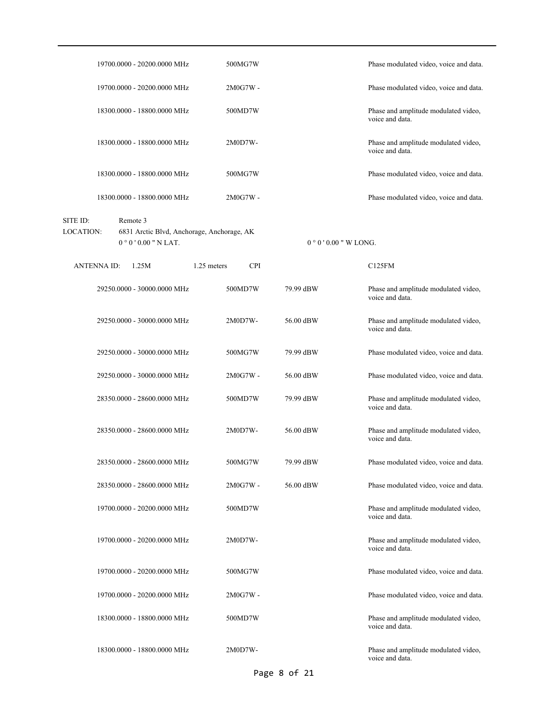| 19700.0000 - 20200.0000 MHz                                                                           | 500MG7W                   |           | Phase modulated video, voice and data.                  |
|-------------------------------------------------------------------------------------------------------|---------------------------|-----------|---------------------------------------------------------|
| 19700.0000 - 20200.0000 MHz                                                                           | 2M0G7W -                  |           | Phase modulated video, voice and data.                  |
| 18300.0000 - 18800.0000 MHz                                                                           | 500MD7W                   |           | Phase and amplitude modulated video,<br>voice and data. |
| 18300.0000 - 18800.0000 MHz                                                                           | 2M0D7W-                   |           | Phase and amplitude modulated video,<br>voice and data. |
| 18300,0000 - 18800,0000 MHz                                                                           | 500MG7W                   |           | Phase modulated video, voice and data.                  |
| 18300.0000 - 18800.0000 MHz                                                                           | $2M0G7W -$                |           | Phase modulated video, voice and data.                  |
| Remote 3<br>SITE ID:<br>LOCATION:<br>6831 Arctic Blvd, Anchorage, Anchorage, AK<br>$0°0'0.00"$ N LAT. |                           |           | $0°0'0.00"$ W LONG.                                     |
| <b>ANTENNA ID:</b><br>1.25M                                                                           | 1.25 meters<br><b>CPI</b> |           | C125FM                                                  |
| 29250.0000 - 30000.0000 MHz                                                                           | 500MD7W                   | 79.99 dBW | Phase and amplitude modulated video,<br>voice and data. |
| 29250.0000 - 30000.0000 MHz                                                                           | 2M0D7W-                   | 56.00 dBW | Phase and amplitude modulated video,<br>voice and data. |
| 29250.0000 - 30000.0000 MHz                                                                           | 500MG7W                   | 79.99 dBW | Phase modulated video, voice and data.                  |
| 29250.0000 - 30000.0000 MHz                                                                           | 2M0G7W -                  | 56.00 dBW | Phase modulated video, voice and data.                  |
| 28350.0000 - 28600.0000 MHz                                                                           | 500MD7W                   | 79.99 dBW | Phase and amplitude modulated video,<br>voice and data. |
| 28350.0000 - 28600.0000 MHz                                                                           | 2M0D7W-                   | 56.00 dBW | Phase and amplitude modulated video,<br>voice and data. |
| 28350.0000 - 28600.0000 MHz                                                                           | 500MG7W                   | 79.99 dBW | Phase modulated video, voice and data.                  |
| 28350.0000 - 28600.0000 MHz                                                                           | 2M0G7W -                  | 56.00 dBW | Phase modulated video, voice and data.                  |
| 19700.0000 - 20200.0000 MHz                                                                           | 500MD7W                   |           | Phase and amplitude modulated video,<br>voice and data. |
| 19700.0000 - 20200.0000 MHz                                                                           | 2M0D7W-                   |           | Phase and amplitude modulated video,<br>voice and data. |
| 19700.0000 - 20200.0000 MHz                                                                           | 500MG7W                   |           | Phase modulated video, voice and data.                  |
| 19700.0000 - 20200.0000 MHz                                                                           | 2M0G7W -                  |           | Phase modulated video, voice and data.                  |
| 18300.0000 - 18800.0000 MHz                                                                           | 500MD7W                   |           | Phase and amplitude modulated video,<br>voice and data. |
| 18300.0000 - 18800.0000 MHz                                                                           | 2M0D7W-                   |           | Phase and amplitude modulated video,<br>voice and data. |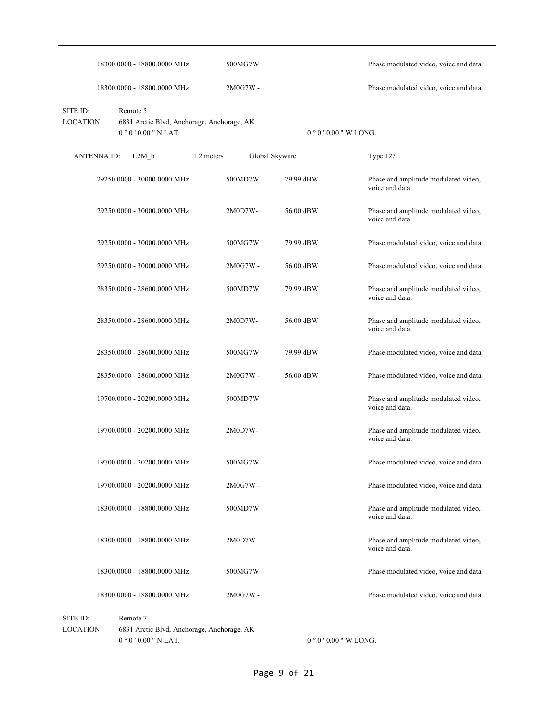|                              | 18300.0000 - 18800.0000 MHz                                                  |            | 500MG7W        |                      | Phase modulated video, voice and data.                  |
|------------------------------|------------------------------------------------------------------------------|------------|----------------|----------------------|---------------------------------------------------------|
|                              | 18300.0000 - 18800.0000 MHz                                                  |            | 2M0G7W -       |                      | Phase modulated video, voice and data.                  |
| SITE ID:<br><b>LOCATION:</b> | Remote 5<br>6831 Arctic Blvd, Anchorage, Anchorage, AK<br>$0°0'0.00"$ N LAT. |            |                | $0°0'0.00''$ W LONG. |                                                         |
| <b>ANTENNA ID:</b>           | 1.2M b                                                                       | 1.2 meters | Global Skyware |                      | Type 127                                                |
|                              | 29250.0000 - 30000.0000 MHz                                                  |            | 500MD7W        | 79.99 dBW            | Phase and amplitude modulated video,<br>voice and data. |
|                              | 29250.0000 - 30000.0000 MHz                                                  |            | 2M0D7W-        | 56.00 dBW            | Phase and amplitude modulated video,<br>voice and data. |
|                              | 29250.0000 - 30000.0000 MHz                                                  |            | 500MG7W        | 79.99 dBW            | Phase modulated video, voice and data.                  |
|                              | 29250.0000 - 30000.0000 MHz                                                  |            | 2M0G7W-        | 56.00 dBW            | Phase modulated video, voice and data.                  |
|                              | 28350.0000 - 28600.0000 MHz                                                  |            | 500MD7W        | 79.99 dBW            | Phase and amplitude modulated video,<br>voice and data. |
|                              | 28350.0000 - 28600.0000 MHz                                                  |            | 2M0D7W-        | 56.00 dBW            | Phase and amplitude modulated video,<br>voice and data. |
|                              | 28350.0000 - 28600.0000 MHz                                                  |            | 500MG7W        | 79.99 dBW            | Phase modulated video, voice and data.                  |
|                              | 28350.0000 - 28600.0000 MHz                                                  |            | 2M0G7W -       | 56.00 dBW            | Phase modulated video, voice and data.                  |
|                              | 19700.0000 - 20200.0000 MHz                                                  |            | 500MD7W        |                      | Phase and amplitude modulated video,<br>voice and data. |
|                              | 19700.0000 - 20200.0000 MHz                                                  |            | 2M0D7W-        |                      | Phase and amplitude modulated video,<br>voice and data. |
|                              | 19700.0000 - 20200.0000 MHz                                                  |            | 500MG7W        |                      | Phase modulated video, voice and data.                  |
|                              | 19700.0000 - 20200.0000 MHz                                                  |            | 2M0G7W -       |                      | Phase modulated video, voice and data.                  |
|                              | 18300.0000 - 18800.0000 MHz                                                  |            | 500MD7W        |                      | Phase and amplitude modulated video,<br>voice and data. |
|                              | 18300.0000 - 18800.0000 MHz                                                  |            | 2M0D7W-        |                      | Phase and amplitude modulated video,<br>voice and data. |
|                              | 18300.0000 - 18800.0000 MHz                                                  |            | 500MG7W        |                      | Phase modulated video, voice and data.                  |
|                              | 18300.0000 - 18800.0000 MHz                                                  |            | 2M0G7W -       |                      | Phase modulated video, voice and data.                  |
| SITE ID:<br>LOCATION:        | Remote 7<br>6831 Arctic Blvd, Anchorage, Anchorage, AK                       |            |                |                      |                                                         |

 $0$   $^{\circ}$   $0$   $^{\prime}$   $0.00$  " N LAT.

 $0$   $^{\circ}$   $0$   $^{\prime}$   $0.00$  " W LONG.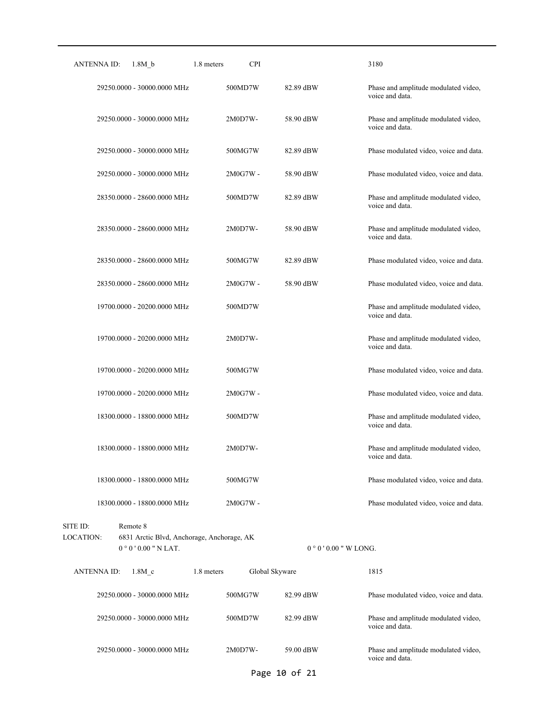| ANTENNA ID:           | 1.8M b                         | 1.8 meters<br><b>CPI</b>                   |                | 3180                                                    |
|-----------------------|--------------------------------|--------------------------------------------|----------------|---------------------------------------------------------|
|                       | 29250.0000 - 30000.0000 MHz    | 500MD7W                                    | 82.89 dBW      | Phase and amplitude modulated video,<br>voice and data. |
|                       | 29250.0000 - 30000.0000 MHz    | 2M0D7W-                                    | 58.90 dBW      | Phase and amplitude modulated video,<br>voice and data. |
|                       | 29250.0000 - 30000.0000 MHz    | 500MG7W                                    | 82.89 dBW      | Phase modulated video, voice and data.                  |
|                       | 29250.0000 - 30000.0000 MHz    | $2M0G7W -$                                 | 58.90 dBW      | Phase modulated video, voice and data.                  |
|                       | 28350.0000 - 28600.0000 MHz    | 500MD7W                                    | 82.89 dBW      | Phase and amplitude modulated video,<br>voice and data. |
|                       | 28350.0000 - 28600.0000 MHz    | 2M0D7W-                                    | 58.90 dBW      | Phase and amplitude modulated video,<br>voice and data. |
|                       | 28350.0000 - 28600.0000 MHz    | 500MG7W                                    | 82.89 dBW      | Phase modulated video, voice and data.                  |
|                       | 28350.0000 - 28600.0000 MHz    | 2M0G7W -                                   | 58.90 dBW      | Phase modulated video, voice and data.                  |
|                       | 19700.0000 - 20200.0000 MHz    | 500MD7W                                    |                | Phase and amplitude modulated video,<br>voice and data. |
|                       | 19700.0000 - 20200.0000 MHz    | 2M0D7W-                                    |                | Phase and amplitude modulated video,<br>voice and data. |
|                       | 19700.0000 - 20200.0000 MHz    | 500MG7W                                    |                | Phase modulated video, voice and data.                  |
|                       | 19700.0000 - 20200.0000 MHz    | 2M0G7W -                                   |                | Phase modulated video, voice and data.                  |
|                       | 18300.0000 - 18800.0000 MHz    | 500MD7W                                    |                | Phase and amplitude modulated video,<br>voice and data. |
|                       | 18300.0000 - 18800.0000 MHz    | 2M0D7W-                                    |                | Phase and amplitude modulated video,<br>voice and data. |
|                       | 18300.0000 - 18800.0000 MHz    | 500MG7W                                    |                | Phase modulated video, voice and data.                  |
|                       | 18300.0000 - 18800.0000 MHz    | 2M0G7W -                                   |                | Phase modulated video, voice and data.                  |
| SITE ID:<br>LOCATION: | Remote 8<br>$0°0'0.00"$ N LAT. | 6831 Arctic Blvd, Anchorage, Anchorage, AK |                | $0°0'0.00''$ W LONG.                                    |
| <b>ANTENNA ID:</b>    | 1.8M <sub>c</sub>              | 1.8 meters                                 | Global Skyware | 1815                                                    |
|                       | 29250.0000 - 30000.0000 MHz    | 500MG7W                                    | 82.99 dBW      | Phase modulated video, voice and data.                  |
|                       | 29250.0000 - 30000.0000 MHz    | 500MD7W                                    | 82.99 dBW      | Phase and amplitude modulated video,<br>voice and data. |
|                       | 29250.0000 - 30000.0000 MHz    | 2M0D7W-                                    | 59.00 dBW      | Phase and amplitude modulated video,<br>voice and data. |

Page 10 of 21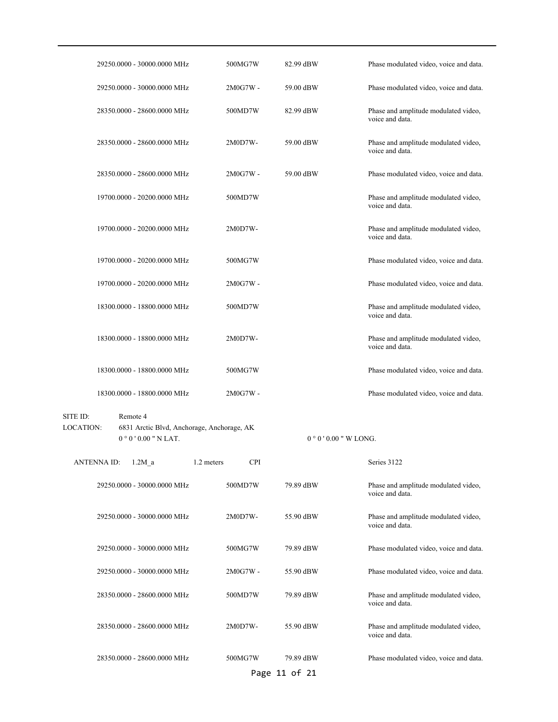|                       | 29250.0000 - 30000.0000 MHz                                                  | 500MG7W                  | 82.99 dBW                  | Phase modulated video, voice and data.                  |
|-----------------------|------------------------------------------------------------------------------|--------------------------|----------------------------|---------------------------------------------------------|
|                       | 29250.0000 - 30000.0000 MHz                                                  | 2M0G7W -                 | 59.00 dBW                  | Phase modulated video, voice and data.                  |
|                       | 28350.0000 - 28600.0000 MHz                                                  | 500MD7W                  | 82.99 dBW                  | Phase and amplitude modulated video,<br>voice and data. |
|                       | 28350.0000 - 28600.0000 MHz                                                  | 2M0D7W-                  | 59.00 dBW                  | Phase and amplitude modulated video,<br>voice and data. |
|                       | 28350.0000 - 28600.0000 MHz                                                  | 2M0G7W -                 | 59.00 dBW                  | Phase modulated video, voice and data.                  |
|                       | 19700.0000 - 20200.0000 MHz                                                  | 500MD7W                  |                            | Phase and amplitude modulated video,<br>voice and data. |
|                       | 19700.0000 - 20200.0000 MHz                                                  | 2M0D7W-                  |                            | Phase and amplitude modulated video,<br>voice and data. |
|                       | 19700.0000 - 20200.0000 MHz                                                  | 500MG7W                  |                            | Phase modulated video, voice and data.                  |
|                       | 19700.0000 - 20200.0000 MHz                                                  | 2M0G7W -                 |                            | Phase modulated video, voice and data.                  |
|                       | 18300.0000 - 18800.0000 MHz                                                  | 500MD7W                  |                            | Phase and amplitude modulated video,<br>voice and data. |
|                       | 18300.0000 - 18800.0000 MHz                                                  | 2M0D7W-                  |                            | Phase and amplitude modulated video,<br>voice and data. |
|                       | 18300.0000 - 18800.0000 MHz                                                  | 500MG7W                  |                            | Phase modulated video, voice and data.                  |
|                       | 18300.0000 - 18800.0000 MHz                                                  | 2M0G7W -                 |                            | Phase modulated video, voice and data.                  |
| SITE ID:<br>LOCATION: | Remote 4<br>6831 Arctic Blvd, Anchorage, Anchorage, AK<br>$0°0'0.00"$ N LAT. |                          | $0°0'0.00''$ W LONG.       |                                                         |
| <b>ANTENNAID:</b>     | $1.2M_a$                                                                     | <b>CPI</b><br>1.2 meters |                            | Series 3122                                             |
|                       | 29250.0000 - 30000.0000 MHz                                                  | 500MD7W                  | 79.89 dBW                  | Phase and amplitude modulated video,<br>voice and data. |
|                       | 29250.0000 - 30000.0000 MHz                                                  | 2M0D7W-                  | 55.90 dBW                  | Phase and amplitude modulated video,<br>voice and data. |
|                       | 29250.0000 - 30000.0000 MHz                                                  | 500MG7W                  | 79.89 dBW                  | Phase modulated video, voice and data.                  |
|                       | 29250.0000 - 30000.0000 MHz                                                  | 2M0G7W -                 | 55.90 dBW                  | Phase modulated video, voice and data.                  |
|                       | 28350.0000 - 28600.0000 MHz                                                  | 500MD7W                  | 79.89 dBW                  | Phase and amplitude modulated video,<br>voice and data. |
|                       | 28350.0000 - 28600.0000 MHz                                                  | 2M0D7W-                  | 55.90 dBW                  | Phase and amplitude modulated video,<br>voice and data. |
|                       | 28350.0000 - 28600.0000 MHz                                                  | 500MG7W                  | 79.89 dBW<br>Page 11 of 21 | Phase modulated video, voice and data.                  |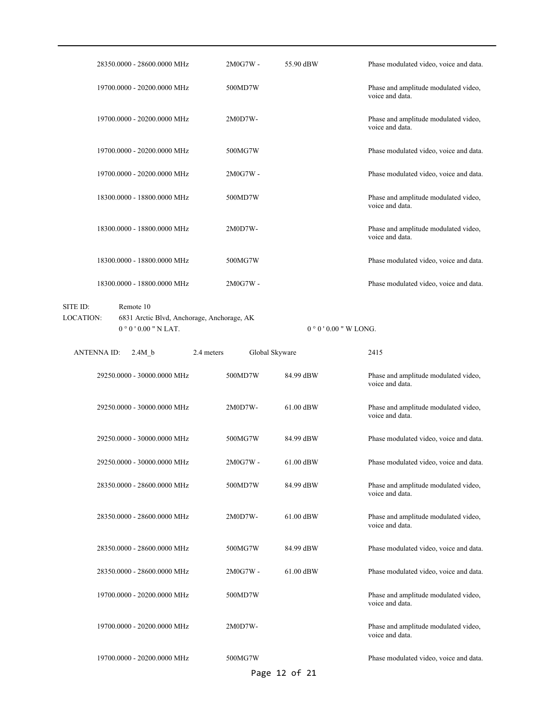| 28350.0000 - 28600.0000 MHz                                                                                   | 2M0G7W -                     | 55.90 dBW            | Phase modulated video, voice and data.                  |
|---------------------------------------------------------------------------------------------------------------|------------------------------|----------------------|---------------------------------------------------------|
| 19700.0000 - 20200.0000 MHz                                                                                   | 500MD7W                      |                      | Phase and amplitude modulated video,<br>voice and data. |
| 19700.0000 - 20200.0000 MHz                                                                                   | 2M0D7W-                      |                      | Phase and amplitude modulated video,<br>voice and data. |
| 19700.0000 - 20200.0000 MHz                                                                                   | 500MG7W                      |                      | Phase modulated video, voice and data.                  |
| 19700.0000 - 20200.0000 MHz                                                                                   | 2M0G7W -                     |                      | Phase modulated video, voice and data.                  |
| 18300.0000 - 18800.0000 MHz                                                                                   | 500MD7W                      |                      | Phase and amplitude modulated video,<br>voice and data. |
| 18300.0000 - 18800.0000 MHz                                                                                   | 2M0D7W-                      |                      | Phase and amplitude modulated video,<br>voice and data. |
| 18300.0000 - 18800.0000 MHz                                                                                   | 500MG7W                      |                      | Phase modulated video, voice and data.                  |
| 18300.0000 - 18800.0000 MHz                                                                                   | 2M0G7W -                     |                      | Phase modulated video, voice and data.                  |
| SITE ID:<br>Remote 10<br><b>LOCATION:</b><br>6831 Arctic Blvd, Anchorage, Anchorage, AK<br>$0°0'0.00"$ N LAT. |                              | $0°0'0.00''$ W LONG. |                                                         |
| <b>ANTENNA ID:</b><br>2.4M b                                                                                  | Global Skyware<br>2.4 meters |                      | 2415                                                    |
| 29250.0000 - 30000.0000 MHz                                                                                   | 500MD7W                      | 84.99 dBW            | Phase and amplitude modulated video,<br>voice and data. |
| 29250.0000 - 30000.0000 MHz                                                                                   | 2M0D7W-                      | $61.00$ dBW          | Phase and amplitude modulated video,<br>voice and data. |
| 29250.0000 - 30000.0000 MHz                                                                                   | 500MG7W                      | 84.99 dBW            | Phase modulated video, voice and data.                  |
| 29250.0000 - 30000.0000 MHz                                                                                   | 2M0G7W -                     | 61.00 dBW            | Phase modulated video, voice and data.                  |
| 28350.0000 - 28600.0000 MHz                                                                                   | 500MD7W                      | 84.99 dBW            | Phase and amplitude modulated video,<br>voice and data. |
| 28350.0000 - 28600.0000 MHz                                                                                   | 2M0D7W-                      | 61.00 dBW            | Phase and amplitude modulated video,<br>voice and data. |
| 28350.0000 - 28600.0000 MHz                                                                                   | 500MG7W                      | 84.99 dBW            | Phase modulated video, voice and data.                  |
| 28350.0000 - 28600.0000 MHz                                                                                   | 2M0G7W -                     | 61.00 dBW            | Phase modulated video, voice and data.                  |
| 19700.0000 - 20200.0000 MHz                                                                                   | 500MD7W                      |                      | Phase and amplitude modulated video,<br>voice and data. |
| 19700.0000 - 20200.0000 MHz                                                                                   | 2M0D7W-                      |                      | Phase and amplitude modulated video,<br>voice and data. |
|                                                                                                               |                              |                      | Phase modulated video, voice and data.                  |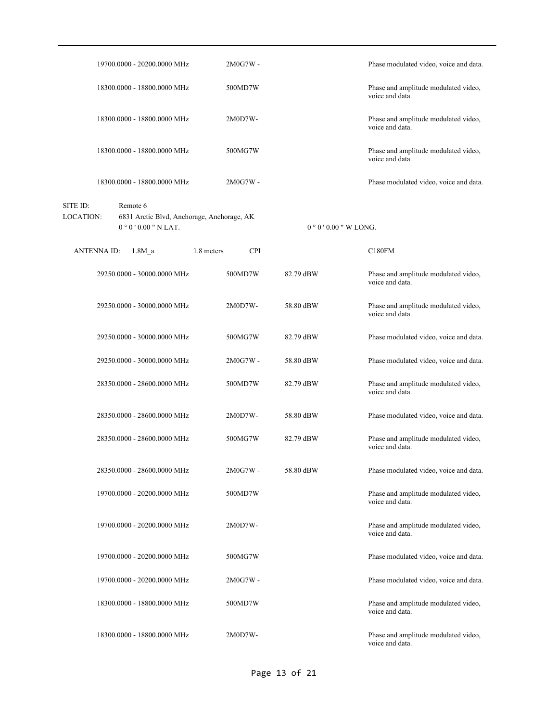| 19700.0000 - 20200.0000 MHz                             |                                            | 2M0G7W -   |                     | Phase modulated video, voice and data.                  |
|---------------------------------------------------------|--------------------------------------------|------------|---------------------|---------------------------------------------------------|
| 18300.0000 - 18800.0000 MHz                             |                                            | 500MD7W    |                     | Phase and amplitude modulated video,<br>voice and data. |
| 18300.0000 - 18800.0000 MHz                             |                                            | 2M0D7W-    |                     | Phase and amplitude modulated video,<br>voice and data. |
| 18300.0000 - 18800.0000 MHz                             |                                            | 500MG7W    |                     | Phase and amplitude modulated video,<br>voice and data. |
| 18300.0000 - 18800.0000 MHz                             |                                            | 2M0G7W -   |                     | Phase modulated video, voice and data.                  |
| SITE ID:<br>Remote 6<br>LOCATION:<br>$0°0'0.00"$ N LAT. | 6831 Arctic Blvd, Anchorage, Anchorage, AK |            | $0°0'0.00"$ W LONG. |                                                         |
| <b>ANTENNA ID:</b><br>1.8M <sub>a</sub>                 | 1.8 meters                                 | <b>CPI</b> |                     | C180FM                                                  |
| 29250.0000 - 30000.0000 MHz                             |                                            | 500MD7W    | 82.79 dBW           | Phase and amplitude modulated video,<br>voice and data. |
| 29250.0000 - 30000.0000 MHz                             |                                            | 2M0D7W-    | 58.80 dBW           | Phase and amplitude modulated video,<br>voice and data. |
| 29250.0000 - 30000.0000 MHz                             |                                            | 500MG7W    | 82.79 dBW           | Phase modulated video, voice and data.                  |
| 29250.0000 - 30000.0000 MHz                             |                                            | 2M0G7W -   | 58.80 dBW           | Phase modulated video, voice and data.                  |
| 28350.0000 - 28600.0000 MHz                             |                                            | 500MD7W    | 82.79 dBW           | Phase and amplitude modulated video,<br>voice and data. |
| 28350.0000 - 28600.0000 MHz                             |                                            | 2M0D7W-    | 58.80 dBW           | Phase modulated video, voice and data.                  |
| 28350.0000 - 28600.0000 MHz                             |                                            | 500MG7W    | 82.79 dBW           | Phase and amplitude modulated video,<br>voice and data. |
| 28350.0000 - 28600.0000 MHz                             |                                            | 2M0G7W -   | 58.80 dBW           | Phase modulated video, voice and data.                  |
| 19700.0000 - 20200.0000 MHz                             |                                            | 500MD7W    |                     | Phase and amplitude modulated video,<br>voice and data. |
| 19700.0000 - 20200.0000 MHz                             |                                            | 2M0D7W-    |                     | Phase and amplitude modulated video,<br>voice and data. |
| 19700.0000 - 20200.0000 MHz                             |                                            | 500MG7W    |                     | Phase modulated video, voice and data.                  |
| 19700.0000 - 20200.0000 MHz                             |                                            | 2M0G7W -   |                     | Phase modulated video, voice and data.                  |
| 18300.0000 - 18800.0000 MHz                             |                                            | 500MD7W    |                     | Phase and amplitude modulated video,<br>voice and data. |
| 18300.0000 - 18800.0000 MHz                             |                                            | 2M0D7W-    |                     | Phase and amplitude modulated video,<br>voice and data. |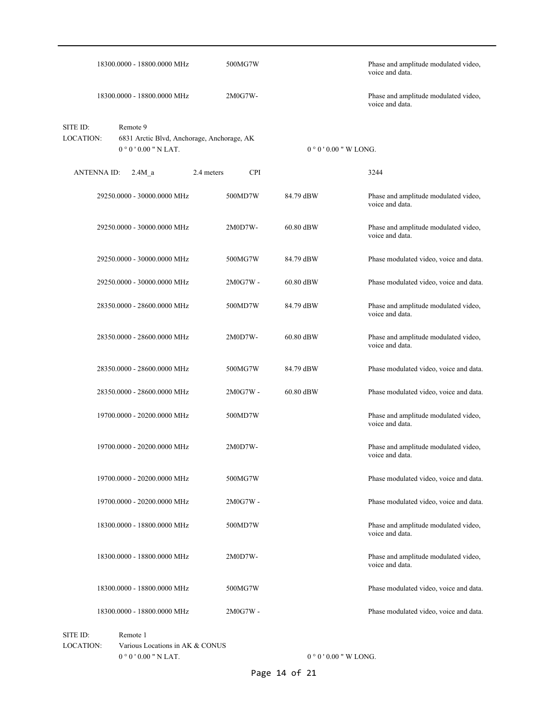|                              |                    | 18300.0000 - 18800.0000 MHz                                                  | 500MG7W                  |           | Phase and amplitude modulated video,<br>voice and data. |
|------------------------------|--------------------|------------------------------------------------------------------------------|--------------------------|-----------|---------------------------------------------------------|
|                              |                    | 18300.0000 - 18800.0000 MHz                                                  | 2M0G7W-                  |           | Phase and amplitude modulated video,<br>voice and data. |
| SITE ID:<br><b>LOCATION:</b> |                    | Remote 9<br>6831 Arctic Blvd, Anchorage, Anchorage, AK<br>$0°0'0.00"$ N LAT. |                          |           | $0°0'0.00"$ W LONG.                                     |
|                              | <b>ANTENNA ID:</b> | 2.4M a                                                                       | 2.4 meters<br><b>CPI</b> |           | 3244                                                    |
|                              |                    | 29250.0000 - 30000.0000 MHz                                                  | 500MD7W                  | 84.79 dBW | Phase and amplitude modulated video,<br>voice and data. |
|                              |                    | 29250.0000 - 30000.0000 MHz                                                  | $2M0D7W -$               | 60.80 dBW | Phase and amplitude modulated video,<br>voice and data. |
|                              |                    | 29250.0000 - 30000.0000 MHz                                                  | 500MG7W                  | 84.79 dBW | Phase modulated video, voice and data.                  |
|                              |                    | 29250.0000 - 30000.0000 MHz                                                  | 2M0G7W -                 | 60.80 dBW | Phase modulated video, voice and data.                  |
|                              |                    | 28350.0000 - 28600.0000 MHz                                                  | 500MD7W                  | 84.79 dBW | Phase and amplitude modulated video,<br>voice and data. |
|                              |                    | 28350.0000 - 28600.0000 MHz                                                  | 2M0D7W-                  | 60.80 dBW | Phase and amplitude modulated video,<br>voice and data. |
|                              |                    | 28350.0000 - 28600.0000 MHz                                                  | 500MG7W                  | 84.79 dBW | Phase modulated video, voice and data.                  |
|                              |                    | 28350.0000 - 28600.0000 MHz                                                  | 2M0G7W -                 | 60.80 dBW | Phase modulated video, voice and data.                  |
|                              |                    | 19700.0000 - 20200.0000 MHz                                                  | 500MD7W                  |           | Phase and amplitude modulated video,<br>voice and data. |
|                              |                    | 19700.0000 - 20200.0000 MHz                                                  | 2M0D7W-                  |           | Phase and amplitude modulated video,<br>voice and data. |
|                              |                    | 19700.0000 - 20200.0000 MHz                                                  | 500MG7W                  |           | Phase modulated video, voice and data.                  |
|                              |                    | 19700.0000 - 20200.0000 MHz                                                  | 2M0G7W -                 |           | Phase modulated video, voice and data.                  |
|                              |                    | 18300.0000 - 18800.0000 MHz                                                  | 500MD7W                  |           | Phase and amplitude modulated video,<br>voice and data. |
|                              |                    | 18300.0000 - 18800.0000 MHz                                                  | $2M0D7W -$               |           | Phase and amplitude modulated video,<br>voice and data. |
|                              |                    | 18300.0000 - 18800.0000 MHz                                                  | 500MG7W                  |           | Phase modulated video, voice and data.                  |
|                              |                    | 18300.0000 - 18800.0000 MHz                                                  | 2M0G7W -                 |           | Phase modulated video, voice and data.                  |
| SITE ID:                     |                    | Remote 1                                                                     |                          |           |                                                         |

 $0$   $^{\circ}$   $0$   $^{\prime}$   $0.00$  " N LAT. Various Locations in AK & CONUS LOCATION:

 $0$   $^{\circ}$   $0$   $^{\prime}$  0.00  $^{\prime\prime}$  W LONG.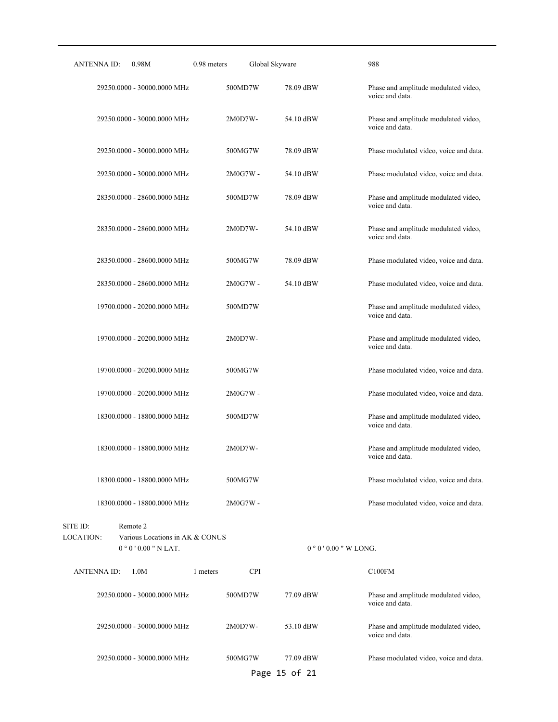| ANTENNA ID:<br>0.98M                                                                       | Global Skyware<br>0.98 meters |                       | 988                                                     |
|--------------------------------------------------------------------------------------------|-------------------------------|-----------------------|---------------------------------------------------------|
| 29250.0000 - 30000.0000 MHz                                                                | 500MD7W                       | 78.09 dBW             | Phase and amplitude modulated video,<br>voice and data. |
| 29250.0000 - 30000.0000 MHz                                                                | $2M0D7W -$                    | 54.10 dBW             | Phase and amplitude modulated video,<br>voice and data. |
| 29250.0000 - 30000.0000 MHz                                                                | 500MG7W                       | 78.09 dBW             | Phase modulated video, voice and data.                  |
| 29250.0000 - 30000.0000 MHz                                                                | $2M0G7W -$                    | 54.10 dBW             | Phase modulated video, voice and data.                  |
| 28350.0000 - 28600.0000 MHz                                                                | 500MD7W                       | 78.09 dBW             | Phase and amplitude modulated video,<br>voice and data. |
| 28350.0000 - 28600.0000 MHz                                                                | 2M0D7W-                       | 54.10 dBW             | Phase and amplitude modulated video,<br>voice and data. |
| 28350.0000 - 28600.0000 MHz                                                                | 500MG7W                       | 78.09 dBW             | Phase modulated video, voice and data.                  |
| 28350.0000 - 28600.0000 MHz                                                                | $2M0G7W -$                    | 54.10 dBW             | Phase modulated video, voice and data.                  |
| 19700.0000 - 20200.0000 MHz                                                                | 500MD7W                       |                       | Phase and amplitude modulated video,<br>voice and data. |
| 19700.0000 - 20200.0000 MHz                                                                | 2M0D7W-                       |                       | Phase and amplitude modulated video,<br>voice and data. |
| 19700.0000 - 20200.0000 MHz                                                                | 500MG7W                       |                       | Phase modulated video, voice and data.                  |
| 19700.0000 - 20200.0000 MHz                                                                | 2M0G7W -                      |                       | Phase modulated video, voice and data.                  |
| 18300.0000 - 18800.0000 MHz                                                                | 500MD7W                       |                       | Phase and amplitude modulated video,<br>voice and data. |
| 18300.0000 - 18800.0000 MHz                                                                | 2M0D7W-                       |                       | Phase and amplitude modulated video,<br>voice and data. |
| 18300.0000 - 18800.0000 MHz                                                                | 500MG7W                       |                       | Phase modulated video, voice and data.                  |
| 18300.0000 - 18800.0000 MHz                                                                | 2M0G7W -                      |                       | Phase modulated video, voice and data.                  |
| SITE ID:<br>Remote 2<br>LOCATION:<br>Various Locations in AK & CONUS<br>$0°0'0.00"$ N LAT. |                               | $0°0'$ 0.00 " W LONG. |                                                         |
| <b>ANTENNA ID:</b><br>1.0M                                                                 | <b>CPI</b><br>1 meters        |                       | C100FM                                                  |
| 29250.0000 - 30000.0000 MHz                                                                | 500MD7W                       | 77.09 dBW             | Phase and amplitude modulated video,<br>voice and data. |
| 29250.0000 - 30000.0000 MHz                                                                | 2M0D7W-                       | 53.10 dBW             | Phase and amplitude modulated video,<br>voice and data. |
| 29250.0000 - 30000.0000 MHz                                                                | 500MG7W                       | 77.09 dBW             | Phase modulated video, voice and data.                  |
|                                                                                            |                               | Page 15 of 21         |                                                         |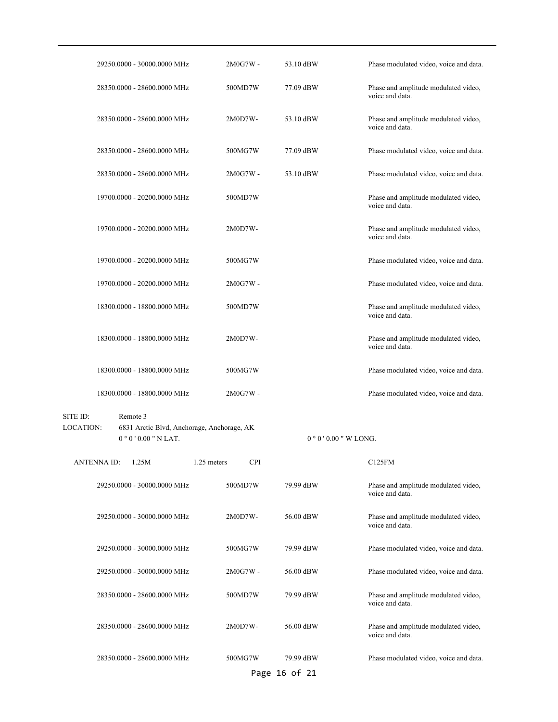|                       | 29250.0000 - 30000.0000 MHz                                                  | 2M0G7W -                  | 53.10 dBW                  | Phase modulated video, voice and data.                  |
|-----------------------|------------------------------------------------------------------------------|---------------------------|----------------------------|---------------------------------------------------------|
|                       | 28350.0000 - 28600.0000 MHz                                                  | 500MD7W                   | 77.09 dBW                  | Phase and amplitude modulated video,<br>voice and data. |
|                       | 28350.0000 - 28600.0000 MHz                                                  | 2M0D7W-                   | 53.10 dBW                  | Phase and amplitude modulated video,<br>voice and data. |
|                       | 28350.0000 - 28600.0000 MHz                                                  | 500MG7W                   | 77.09 dBW                  | Phase modulated video, voice and data.                  |
|                       | 28350.0000 - 28600.0000 MHz                                                  | 2M0G7W -                  | 53.10 dBW                  | Phase modulated video, voice and data.                  |
|                       | 19700.0000 - 20200.0000 MHz                                                  | 500MD7W                   |                            | Phase and amplitude modulated video,<br>voice and data. |
|                       | 19700.0000 - 20200.0000 MHz                                                  | 2M0D7W-                   |                            | Phase and amplitude modulated video,<br>voice and data. |
|                       | 19700.0000 - 20200.0000 MHz                                                  | 500MG7W                   |                            | Phase modulated video, voice and data.                  |
|                       | 19700.0000 - 20200.0000 MHz                                                  | 2M0G7W -                  |                            | Phase modulated video, voice and data.                  |
|                       | 18300.0000 - 18800.0000 MHz                                                  | 500MD7W                   |                            | Phase and amplitude modulated video,<br>voice and data. |
|                       | 18300.0000 - 18800.0000 MHz                                                  | 2M0D7W-                   |                            | Phase and amplitude modulated video,<br>voice and data. |
|                       | 18300.0000 - 18800.0000 MHz                                                  | 500MG7W                   |                            | Phase modulated video, voice and data.                  |
|                       | 18300.0000 - 18800.0000 MHz                                                  | 2M0G7W -                  |                            | Phase modulated video, voice and data.                  |
| SITE ID:<br>LOCATION: | Remote 3<br>6831 Arctic Blvd, Anchorage, Anchorage, AK<br>$0°0'0.00"$ N LAT. |                           | $0°0'0.00''$ W LONG.       |                                                         |
| <b>ANTENNAID:</b>     | 1.25M                                                                        | 1.25 meters<br><b>CPI</b> |                            | C125FM                                                  |
|                       | 29250.0000 - 30000.0000 MHz                                                  | 500MD7W                   | 79.99 dBW                  | Phase and amplitude modulated video,<br>voice and data. |
|                       | 29250.0000 - 30000.0000 MHz                                                  | 2M0D7W-                   | 56.00 dBW                  | Phase and amplitude modulated video,<br>voice and data. |
|                       | 29250.0000 - 30000.0000 MHz                                                  | 500MG7W                   | 79.99 dBW                  | Phase modulated video, voice and data.                  |
|                       | 29250.0000 - 30000.0000 MHz                                                  | 2M0G7W -                  | 56.00 dBW                  | Phase modulated video, voice and data.                  |
|                       | 28350.0000 - 28600.0000 MHz                                                  | 500MD7W                   | 79.99 dBW                  | Phase and amplitude modulated video,<br>voice and data. |
|                       | 28350.0000 - 28600.0000 MHz                                                  | 2M0D7W-                   | 56.00 dBW                  | Phase and amplitude modulated video,<br>voice and data. |
|                       | 28350.0000 - 28600.0000 MHz                                                  | 500MG7W                   | 79.99 dBW<br>Page 16 of 21 | Phase modulated video, voice and data.                  |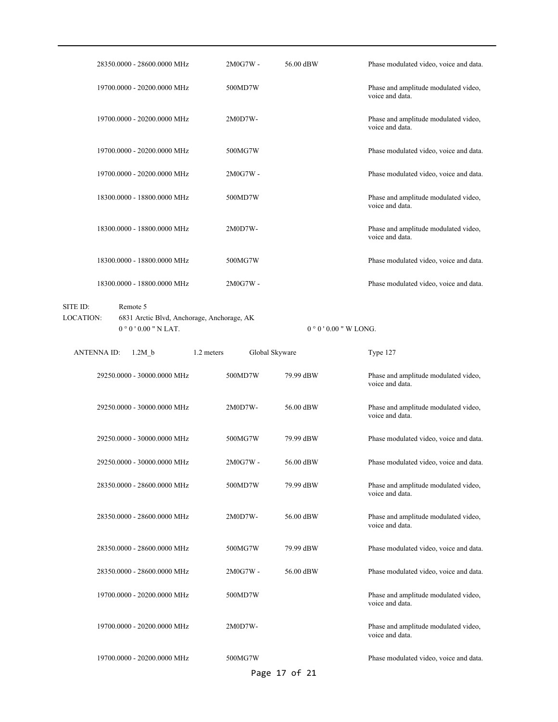|          | 28350,0000 - 28600,0000 MHz | $2M0G7W -$ | 56.00 dBW | Phase modulated video, voice and data.                  |
|----------|-----------------------------|------------|-----------|---------------------------------------------------------|
|          | 19700.0000 - 20200.0000 MHz | 500MD7W    |           | Phase and amplitude modulated video,<br>voice and data. |
|          | 19700.0000 - 20200.0000 MHz | 2M0D7W-    |           | Phase and amplitude modulated video,<br>voice and data. |
|          | 19700.0000 - 20200.0000 MHz | 500MG7W    |           | Phase modulated video, voice and data.                  |
|          | 19700.0000 - 20200.0000 MHz | 2M0G7W -   |           | Phase modulated video, voice and data.                  |
|          | 18300.0000 - 18800.0000 MHz | 500MD7W    |           | Phase and amplitude modulated video,<br>voice and data. |
|          | 18300.0000 - 18800.0000 MHz | 2M0D7W-    |           | Phase and amplitude modulated video,<br>voice and data. |
|          | 18300.0000 - 18800.0000 MHz | 500MG7W    |           | Phase modulated video, voice and data.                  |
|          | 18300.0000 - 18800.0000 MHz | 2M0G7W -   |           | Phase modulated video, voice and data.                  |
| SITE ID: | Remote 5                    |            |           |                                                         |

0  $^{\circ}$  0 ' 0.00 " N LAT. 6831 Arctic Blvd, Anchorage, Anchorage, AK LOCATION:

 $0$   $^{\circ}$  0  $^{\prime}$  0.00  $^{\prime\prime}$  W LONG.

| <b>ANTENNAID:</b> | 1.2M b                      | 1.2 meters | Global Skyware |               | Type 127                                                |
|-------------------|-----------------------------|------------|----------------|---------------|---------------------------------------------------------|
|                   | 29250.0000 - 30000.0000 MHz | 500MD7W    |                | 79.99 dBW     | Phase and amplitude modulated video,<br>voice and data. |
|                   | 29250.0000 - 30000.0000 MHz | 2M0D7W-    |                | 56.00 dBW     | Phase and amplitude modulated video,<br>voice and data. |
|                   | 29250.0000 - 30000.0000 MHz | 500MG7W    |                | 79.99 dBW     | Phase modulated video, voice and data.                  |
|                   | 29250.0000 - 30000.0000 MHz | 2M0G7W -   |                | 56.00 dBW     | Phase modulated video, voice and data.                  |
|                   | 28350.0000 - 28600.0000 MHz | 500MD7W    |                | 79.99 dBW     | Phase and amplitude modulated video,<br>voice and data. |
|                   | 28350.0000 - 28600.0000 MHz | 2M0D7W-    |                | 56.00 dBW     | Phase and amplitude modulated video,<br>voice and data. |
|                   | 28350.0000 - 28600.0000 MHz | 500MG7W    |                | 79.99 dBW     | Phase modulated video, voice and data.                  |
|                   | 28350.0000 - 28600.0000 MHz | 2M0G7W -   |                | 56.00 dBW     | Phase modulated video, voice and data.                  |
|                   | 19700.0000 - 20200.0000 MHz | 500MD7W    |                |               | Phase and amplitude modulated video,<br>voice and data. |
|                   | 19700.0000 - 20200.0000 MHz | 2M0D7W-    |                |               | Phase and amplitude modulated video,<br>voice and data. |
|                   | 19700.0000 - 20200.0000 MHz | 500MG7W    |                |               | Phase modulated video, voice and data.                  |
|                   |                             |            |                | Page 17 of 21 |                                                         |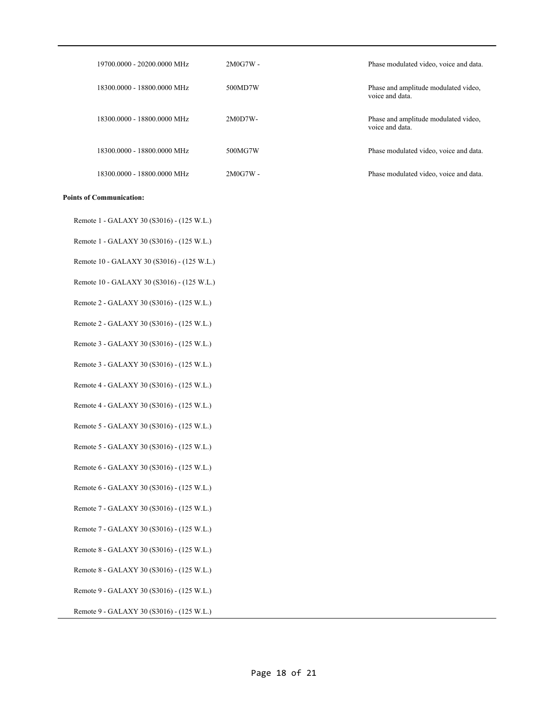| 19700.0000 - 20200.0000 MHz | $2M0G7W -$ | Phase modulated video, voice and data.                  |
|-----------------------------|------------|---------------------------------------------------------|
| 18300,0000 - 18800,0000 MHz | 500MD7W    | Phase and amplitude modulated video,<br>voice and data. |
| 18300,0000 - 18800,0000 MHz | $2M0D7W-$  | Phase and amplitude modulated video,<br>voice and data. |
| 18300,0000 - 18800,0000 MHz | 500MG7W    | Phase modulated video, voice and data.                  |
| 18300.0000 - 18800.0000 MHz | $2M0G7W -$ | Phase modulated video, voice and data.                  |

#### **Points of Communication:**

Remote 1 - GALAXY 30 (S3016) - (125 W.L.)

Remote 1 - GALAXY 30 (S3016) - (125 W.L.)

Remote 10 - GALAXY 30 (S3016) - (125 W.L.)

Remote 10 - GALAXY 30 (S3016) - (125 W.L.)

Remote 2 - GALAXY 30 (S3016) - (125 W.L.)

Remote 2 - GALAXY 30 (S3016) - (125 W.L.)

Remote 3 - GALAXY 30 (S3016) - (125 W.L.)

Remote 3 - GALAXY 30 (S3016) - (125 W.L.)

Remote 4 - GALAXY 30 (S3016) - (125 W.L.)

Remote 4 - GALAXY 30 (S3016) - (125 W.L.)

Remote 5 - GALAXY 30 (S3016) - (125 W.L.)

Remote 5 - GALAXY 30 (S3016) - (125 W.L.)

Remote 6 - GALAXY 30 (S3016) - (125 W.L.)

Remote 6 - GALAXY 30 (S3016) - (125 W.L.)

Remote 7 - GALAXY 30 (S3016) - (125 W.L.)

Remote 7 - GALAXY 30 (S3016) - (125 W.L.)

Remote 8 - GALAXY 30 (S3016) - (125 W.L.)

Remote 8 - GALAXY 30 (S3016) - (125 W.L.)

Remote 9 - GALAXY 30 (S3016) - (125 W.L.)

Remote 9 - GALAXY 30 (S3016) - (125 W.L.)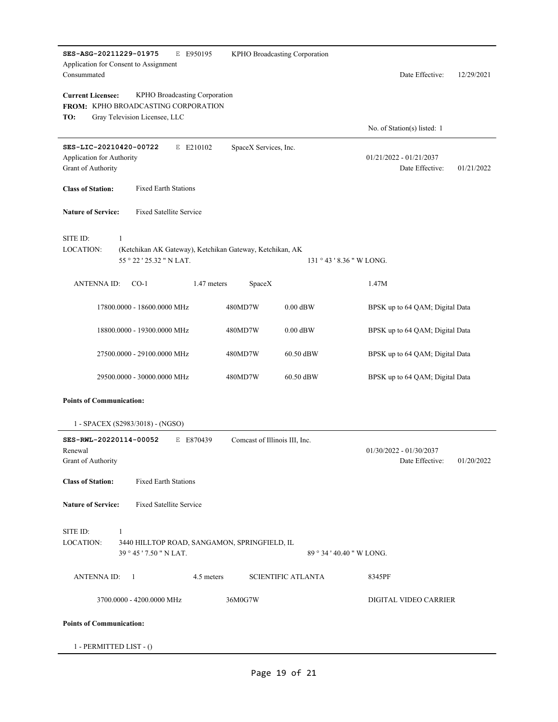| SES-ASG-20211229-01975<br>E E950195<br>KPHO Broadcasting Corporation<br>Application for Consent to Assignment<br>Consummated             |                           | Date Effective:<br>12/29/2021                              |
|------------------------------------------------------------------------------------------------------------------------------------------|---------------------------|------------------------------------------------------------|
| <b>Current Licensee:</b><br>KPHO Broadcasting Corporation<br>FROM: KPHO BROADCASTING CORPORATION<br>Gray Television Licensee, LLC<br>TO: |                           |                                                            |
|                                                                                                                                          |                           | No. of Station(s) listed: 1                                |
| SES-LIC-20210420-00722<br>SpaceX Services, Inc.<br>E E210102<br>Application for Authority<br>Grant of Authority                          |                           | $01/21/2022 - 01/21/2037$<br>Date Effective:<br>01/21/2022 |
| <b>Class of Station:</b><br><b>Fixed Earth Stations</b>                                                                                  |                           |                                                            |
| <b>Fixed Satellite Service</b><br><b>Nature of Service:</b>                                                                              |                           |                                                            |
| SITE ID:<br>$\mathbf{1}$<br><b>LOCATION:</b><br>(Ketchikan AK Gateway), Ketchikan Gateway, Ketchikan, AK<br>55 ° 22 ' 25.32 " N LAT.     | $131°43'8.36"$ W LONG.    |                                                            |
|                                                                                                                                          |                           |                                                            |
| <b>ANTENNA ID:</b><br>$CO-1$<br>1.47 meters<br>SpaceX                                                                                    |                           | 1.47M                                                      |
| 480MD7W<br>17800.0000 - 18600.0000 MHz                                                                                                   | $0.00$ dBW                | BPSK up to 64 QAM; Digital Data                            |
| 18800.0000 - 19300.0000 MHz<br>480MD7W                                                                                                   | $0.00$ dBW                | BPSK up to 64 QAM; Digital Data                            |
| 27500.0000 - 29100.0000 MHz<br>480MD7W                                                                                                   | 60.50 dBW                 | BPSK up to 64 QAM; Digital Data                            |
| 29500.0000 - 30000.0000 MHz<br>480MD7W                                                                                                   | 60.50 dBW                 | BPSK up to 64 QAM; Digital Data                            |
| <b>Points of Communication:</b>                                                                                                          |                           |                                                            |
| 1 - SPACEX (S2983/3018) - (NGSO)                                                                                                         |                           |                                                            |
| SES-RWL-20220114-00052<br>Comcast of Illinois III, Inc.<br>E E870439<br>Renewal<br>Grant of Authority                                    |                           | $01/30/2022 - 01/30/2037$<br>Date Effective:<br>01/20/2022 |
| <b>Fixed Earth Stations</b><br><b>Class of Station:</b>                                                                                  |                           |                                                            |
| <b>Nature of Service:</b><br><b>Fixed Satellite Service</b>                                                                              |                           |                                                            |
| SITE ID:<br>$\mathbf{1}$<br>LOCATION:<br>3440 HILLTOP ROAD, SANGAMON, SPRINGFIELD, IL<br>39 ° 45 ' 7.50 " N LAT.                         | 89 ° 34 ' 40.40 " W LONG. |                                                            |
| <b>ANTENNA ID:</b><br>4.5 meters<br>- 1                                                                                                  | <b>SCIENTIFIC ATLANTA</b> | 8345PF                                                     |
| 36M0G7W<br>3700.0000 - 4200.0000 MHz                                                                                                     |                           | DIGITAL VIDEO CARRIER                                      |
| <b>Points of Communication:</b>                                                                                                          |                           |                                                            |
| 1 - PERMITTED LIST - ()                                                                                                                  |                           |                                                            |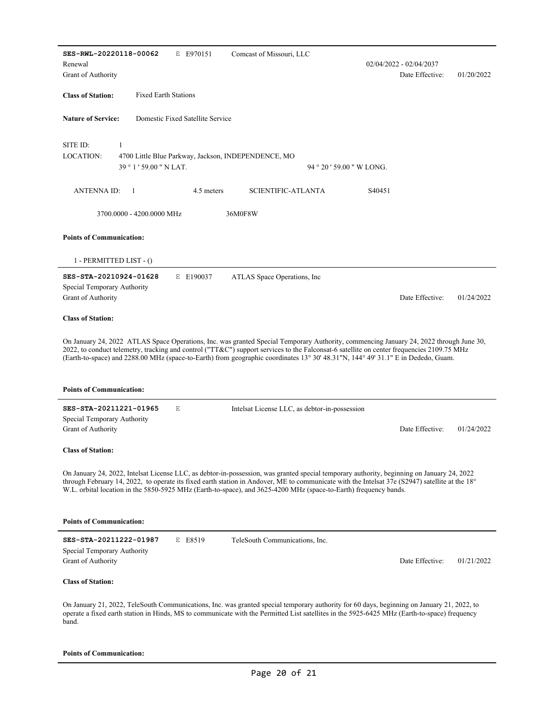| SES-RWL-20220118-00062                            |                             | E E970151                        | Comcast of Missouri, LLC                                                                                                                                                                                                                                                                                                                                                                                                |                         |                    |                         |            |
|---------------------------------------------------|-----------------------------|----------------------------------|-------------------------------------------------------------------------------------------------------------------------------------------------------------------------------------------------------------------------------------------------------------------------------------------------------------------------------------------------------------------------------------------------------------------------|-------------------------|--------------------|-------------------------|------------|
| Renewal                                           |                             |                                  |                                                                                                                                                                                                                                                                                                                                                                                                                         |                         |                    | 02/04/2022 - 02/04/2037 |            |
| Grant of Authority                                |                             |                                  |                                                                                                                                                                                                                                                                                                                                                                                                                         |                         |                    | Date Effective:         | 01/20/2022 |
| <b>Class of Station:</b>                          | <b>Fixed Earth Stations</b> |                                  |                                                                                                                                                                                                                                                                                                                                                                                                                         |                         |                    |                         |            |
| <b>Nature of Service:</b>                         |                             | Domestic Fixed Satellite Service |                                                                                                                                                                                                                                                                                                                                                                                                                         |                         |                    |                         |            |
| SITE ID:                                          | 1                           |                                  |                                                                                                                                                                                                                                                                                                                                                                                                                         |                         |                    |                         |            |
| LOCATION:                                         |                             |                                  | 4700 Little Blue Parkway, Jackson, INDEPENDENCE, MO                                                                                                                                                                                                                                                                                                                                                                     |                         |                    |                         |            |
|                                                   | 39 ° 1 ' 59.00 " N LAT.     |                                  |                                                                                                                                                                                                                                                                                                                                                                                                                         | $94°20'59.00''$ W LONG. |                    |                         |            |
| ANTENNA ID:                                       | $\overline{1}$              | 4.5 meters                       | <b>SCIENTIFIC-ATLANTA</b>                                                                                                                                                                                                                                                                                                                                                                                               |                         | S <sub>40451</sub> |                         |            |
|                                                   | 3700.0000 - 4200.0000 MHz   |                                  | 36M0F8W                                                                                                                                                                                                                                                                                                                                                                                                                 |                         |                    |                         |            |
| <b>Points of Communication:</b>                   |                             |                                  |                                                                                                                                                                                                                                                                                                                                                                                                                         |                         |                    |                         |            |
|                                                   | $1 - PERMITIED LIST - ()$   |                                  |                                                                                                                                                                                                                                                                                                                                                                                                                         |                         |                    |                         |            |
| SES-STA-20210924-01628                            |                             | E E190037                        | ATLAS Space Operations, Inc                                                                                                                                                                                                                                                                                                                                                                                             |                         |                    |                         |            |
| Special Temporary Authority                       |                             |                                  |                                                                                                                                                                                                                                                                                                                                                                                                                         |                         |                    |                         |            |
| Grant of Authority                                |                             |                                  |                                                                                                                                                                                                                                                                                                                                                                                                                         |                         |                    | Date Effective:         | 01/24/2022 |
| <b>Class of Station:</b>                          |                             |                                  |                                                                                                                                                                                                                                                                                                                                                                                                                         |                         |                    |                         |            |
|                                                   |                             |                                  |                                                                                                                                                                                                                                                                                                                                                                                                                         |                         |                    |                         |            |
|                                                   |                             |                                  | On January 24, 2022 ATLAS Space Operations, Inc. was granted Special Temporary Authority, commencing January 24, 2022 through June 30,<br>2022, to conduct telemetry, tracking and control ("TT&C") support services to the Falconsat-6 satellite on center frequencies 2109.75 MHz<br>(Earth-to-space) and 2288.00 MHz (space-to-Earth) from geographic coordinates 13° 30' 48.31"N, 144° 49' 31.1" E in Dededo, Guam. |                         |                    |                         |            |
| <b>Points of Communication:</b>                   |                             |                                  |                                                                                                                                                                                                                                                                                                                                                                                                                         |                         |                    |                         |            |
| SES-STA-20211221-01965                            |                             | E                                | Intelsat License LLC, as debtor-in-possession                                                                                                                                                                                                                                                                                                                                                                           |                         |                    |                         |            |
| Special Temporary Authority                       |                             |                                  |                                                                                                                                                                                                                                                                                                                                                                                                                         |                         |                    |                         |            |
| Grant of Authority                                |                             |                                  |                                                                                                                                                                                                                                                                                                                                                                                                                         |                         |                    | Date Effective:         | 01/24/2022 |
| <b>Class of Station:</b>                          |                             |                                  |                                                                                                                                                                                                                                                                                                                                                                                                                         |                         |                    |                         |            |
|                                                   |                             |                                  | On January 24, 2022, Intelsat License LLC, as debtor-in-possession, was granted special temporary authority, beginning on January 24, 2022<br>through February 14, 2022, to operate its fixed earth station in Andover, ME to communicate with the Intelsat 37e (S2947) satellite at the 18°<br>W.L. orbital location in the 5850-5925 MHz (Earth-to-space), and 3625-4200 MHz (space-to-Earth) frequency bands.        |                         |                    |                         |            |
| <b>Points of Communication:</b>                   |                             |                                  |                                                                                                                                                                                                                                                                                                                                                                                                                         |                         |                    |                         |            |
| SES-STA-20211222-01987                            |                             | E E8519                          | TeleSouth Communications, Inc.                                                                                                                                                                                                                                                                                                                                                                                          |                         |                    |                         |            |
| Special Temporary Authority<br>Grant of Authority |                             |                                  |                                                                                                                                                                                                                                                                                                                                                                                                                         |                         |                    | Date Effective:         | 01/21/2022 |
| <b>Class of Station:</b>                          |                             |                                  |                                                                                                                                                                                                                                                                                                                                                                                                                         |                         |                    |                         |            |
| band.                                             |                             |                                  | On January 21, 2022, TeleSouth Communications, Inc. was granted special temporary authority for 60 days, beginning on January 21, 2022, to<br>operate a fixed earth station in Hinds, MS to communicate with the Permitted List satellites in the 5925-6425 MHz (Earth-to-space) frequency                                                                                                                              |                         |                    |                         |            |

#### **Points of Communication:**